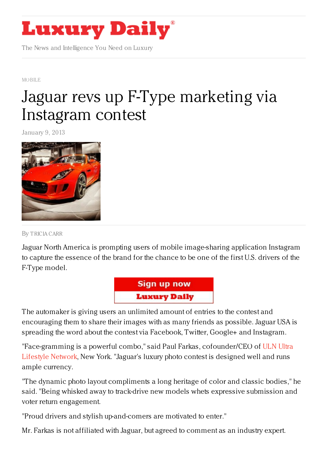

The News and Intelligence You Need on Luxury

[MOBILE](https://www.luxurydaily.com/category/news/mobile-news/)

# Jaguar revs up F-Type [marketing](https://www.luxurydaily.com/jaguar-revs-up-f-type-marketing-via-instagram-contest/) via Instagram contest

January 9, 2013



By [TRICIA](/author/tricia-carr) CARR

Jaguar North America is prompting users of mobile image-sharing application Instagram to capture the essence of the brand for the chance to be one of the first U.S. drivers of the F-Type model.



The automaker is giving users an unlimited amount of entries to the contest and encouraging them to share their images with as many friends as possible. Jaguar USA is spreading the word about the contest via Facebook, Twitter, Google+ and Instagram.

["Face-gramming](http://shoeweek.com/) is a powerful combo," said Paul Farkas, cofounder/CEO of ULN Ultra Lifestyle Network, New York. "Jaguar's luxury photo contest is designed well and runs ample currency.

"The dynamic photo layout compliments a long heritage of color and classic bodies," he said. "Being whisked away to track-drive new models whets expressive submission and voter return engagement.

"Proud drivers and stylish up-and-comers are motivated to enter."

Mr. Farkas is not affiliated with Jaguar, but agreed to comment as an industry expert.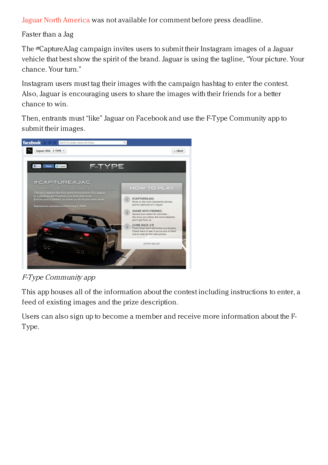Jaguar North [America](http://www.jaguarusa.com/) was not available for comment before press deadline.

Faster than a Jag

The #CaptureAJag campaign invites users to submit their Instagram images of a Jaguar vehicle that best show the spirit of the brand. Jaguar is using the tagline, "Your picture. Your chance. Your turn."

Instagram users must tag their images with the campaign hashtag to enter the contest. Also, Jaguar is encouraging users to share the images with their friends for a better chance to win.

Then, entrants must "like" Jaguar on Facebook and use the F-Type Community app to submit their images.



F-Type Community app

This app houses all of the information about the contest including instructions to enter, a feed of existing images and the prize description.

Users can also sign up to become a member and receive more information about the F-Type.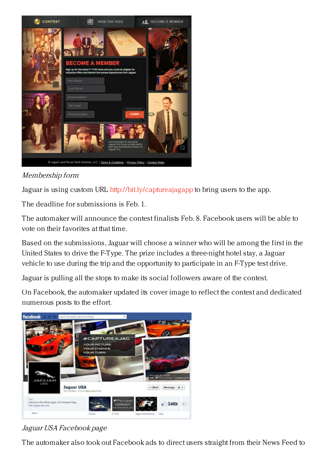

Membership form

Jaguar is using custom URL <http://bit.ly/captureajagapp> to bring users to the app.

The deadline for submissions is Feb. 1.

The automaker will announce the contest finalists Feb. 8. Facebook users will be able to vote on their favorites at that time.

Based on the submissions, Jaguar will choose a winner who will be among the first in the United States to drive the F-Type. The prize includes a three-night hotel stay, a Jaguar vehicle to use during the trip and the opportunity to participate in an F-Type test drive.

Jaguar is pulling all the stops to make its social followers aware of the contest.

On Facebook, the automaker updated its cover image to reflect the contest and dedicated numerous posts to the effort.



## Jaguar USA Facebook page

The automaker also took out Facebook ads to direct users straight from their News Feed to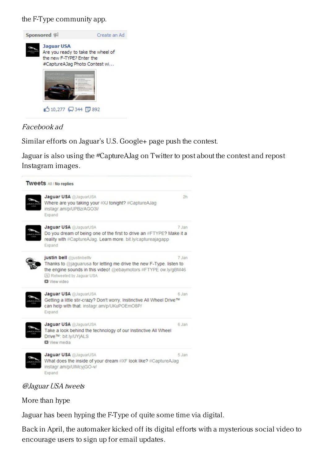the F-Type community app.



#### Facebook ad

Similar efforts on Jaguar's U.S. Google+ page push the contest.

Jaguar is also using the #CaptureAJag on Twitter to post about the contest and repost Instagram images.



#### @Jaguar USA tweets

More than hype

Jaguar has been hyping the F-Type of quite some time via digital.

Back in April, the automaker kicked off its digital efforts with a mysterious social video to encourage users to sign up for email updates.